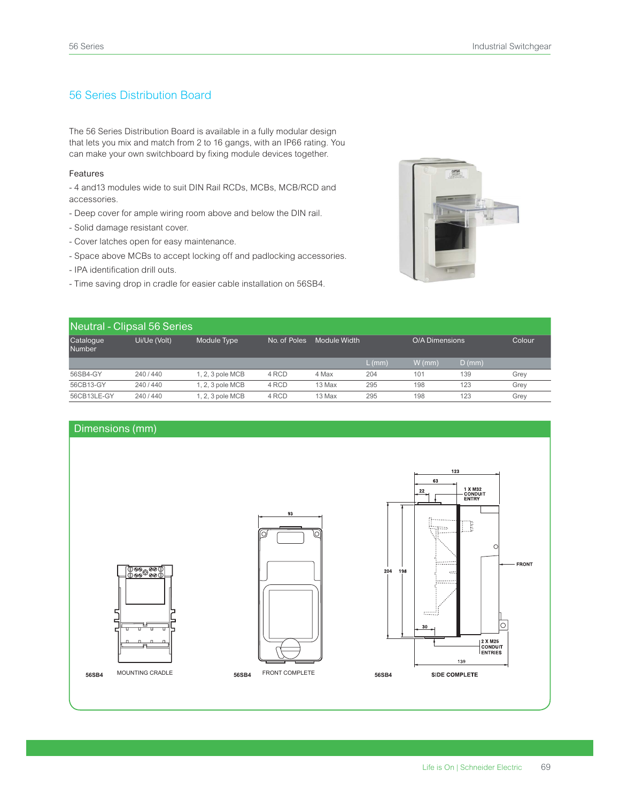## 56 Series Distribution Board

The 56 Series Distribution Board is available in a fully modular design that lets you mix and match from 2 to 16 gangs, with an IP66 rating. You can make your own switchboard by fixing module devices together.

## Features

- 4 and 13 modules wide to suit DIN Rail RCDs, MCBs, MCB/RCD and accessories.

- Deep cover for ample wiring room above and below the DIN rail.
- Solid damage resistant cover.
- Cover latches open for easy maintenance.
- Space above MCBs to accept locking off and padlocking accessories.
- IPA identification drill outs.
- Time saving drop in cradle for easier cable installation on 56SB4.



| Neutral - Clipsal 56 Series |              |                  |              |              |        |                |          |        |  |  |  |
|-----------------------------|--------------|------------------|--------------|--------------|--------|----------------|----------|--------|--|--|--|
| Catalogue<br><b>Number</b>  | Ui/Ue (Volt) | Module Type      | No. of Poles | Module Width |        | O/A Dimensions |          | Colour |  |  |  |
|                             |              |                  |              |              | L (mm) | $W$ (mm)       | $D$ (mm) |        |  |  |  |
| 56SB4-GY                    | 240/440      | $1.2.3$ pole MCB | 4 RCD        | 4 Max        | 204    | 101            | 139      | Grey   |  |  |  |
| 56CB13-GY                   | 240/440      | 1, 2, 3 pole MCB | 4 RCD        | 13 Max       | 295    | 198            | 123      | Grey   |  |  |  |
| 56CB13LE-GY                 | 240/440      | 1, 2, 3 pole MCB | 4 RCD        | 13 Max       | 295    | 198            | 123      | Grey   |  |  |  |